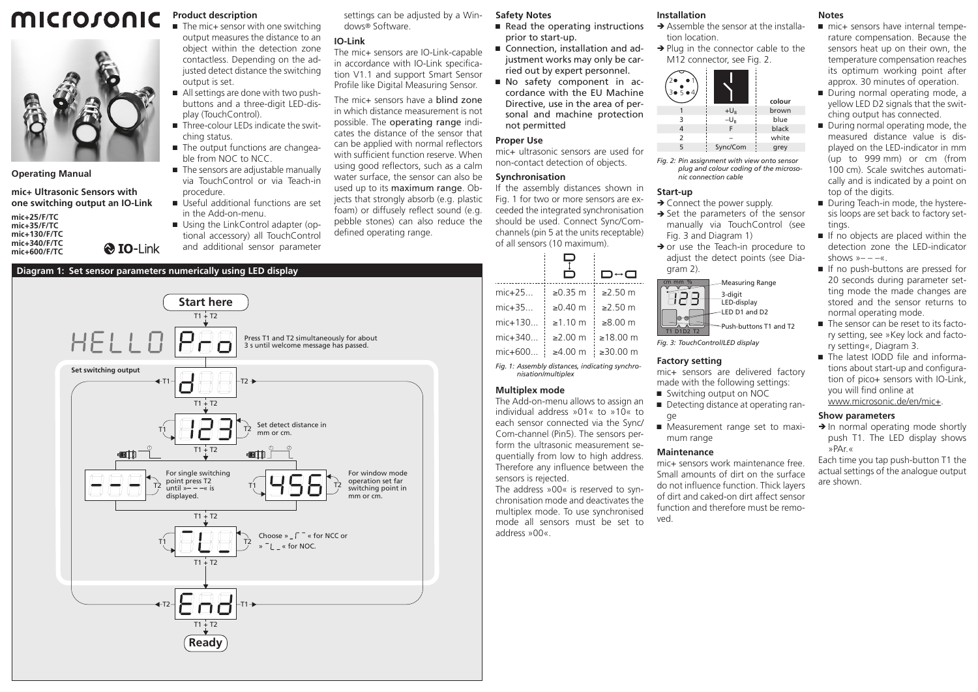#### microsonic **Product description**  $\blacksquare$  The mic+ sensor with one switching



**Operating Manual**

**mic+ Ultrasonic Sensors with one switching output an IO-Link**

**mic+25/F/TC mic+35/F/TC mic+130/F/TC mic+340/F/TC mic+600/F/TC**

output measures the distance to an object within the detection zone contactless. Depending on the adjusted detect distance the switching output is set. ■ All settings are done with two push-

- buttons and a three-digit LED-display (TouchControl).
- $\blacksquare$  Three-colour LEDs indicate the switching status.
- The output functions are changeable from NOC to NCC.
- The sensors are adjustable manually via TouchControl or via Teach-in procedure.
- Ԏ Useful additional functions are set in the Add-on-menu.
- Using the LinkControl adapter (optional accessory) all TouchControl and additional sensor parameter

### **Diagram 1: Set sensor parameters numerically using LED display**

**& IO-Link** 

settings can be adjusted by a Windows® Software.

# **IO-Link**

The mic+ sensors are IO-Link-capable in accordance with IO-Link specification V1.1 and support Smart Sensor Profile like Digital Measuring Sensor.

The mic+ sensors have a blind zone in which distance measurement is not possible. The operating range indicates the distance of the sensor that can be applied with normal reflectors with sufficient function reserve. When using good reflectors, such as a calm water surface, the sensor can also be used up to its maximum range. Objects that strongly absorb (e.g. plastic foam) or diffusely reflect sound (e.g. pebble stones) can also reduce the defined operating range.

### **Safety Notes**

- Read the operating instructions prior to start-up.
- Connection, installation and adjustment works may only be carried out by expert personnel.
- Ԏ No safety component in accordance with the EU Machine Directive, use in the area of personal and machine protection not permitted

### **Proper Use**

 $\ddotsc$ 

mic+ ultrasonic sensors are used for non-contact detection of objects.

#### **Synchronisation**

If the assembly distances shown in Fig. 1 for two or more sensors are exceeded the integrated synchronisation should be used. Connect Sync/Comchannels (pin 5 at the units receptable) of all sensors (10 maximum).

|                                                                       |                    | D↔a                |
|-----------------------------------------------------------------------|--------------------|--------------------|
|                                                                       |                    |                    |
| mic+25                                                                | ≥ $0.35 \text{ m}$ | $≥2.50$ m          |
| mic+35                                                                | $>0.40$ m          | $\geq$ 2.50 m      |
| mic+130                                                               | $\geq 1.10$ m      | ≥ $8.00 \text{ m}$ |
| mic+340                                                               | $>200$ m           | ≥18.00 m           |
| mic+600                                                               | ≥4.00 m            | $≥30.00$ m         |
| Fig. 1: Assembly distances, indicating synchro-<br>nisation/multiplex |                    |                    |

### **Multiplex mode**

The Add-on-menu allows to assign an individual address »01« to »10« to each sensor connected via the Sync/ Com-channel (Pin5). The sensors perform the ultrasonic measurement sequentially from low to high address. Therefore any influence between the sensors is rejected.

The address »00« is reserved to synchronisation mode and deactivates the multiplex mode. To use synchronised mode all sensors must be set to address »00«.

## **Installation**

- $\rightarrow$  Assemble the sensor at the installation location.
- $\rightarrow$  Plug in the connector cable to the M12 connector, see Fig. 2.



*Fig. 2: Pin assignment with view onto sensor plug and colour coding of the microsonic connection cable*

#### **Start-up**

- $\rightarrow$  Connect the power supply.
- $\rightarrow$  Set the parameters of the sensor manually via TouchControl (see Fig. 3 and Diagram 1)
- $\rightarrow$  or use the Teach-in procedure to adjust the detect points (see Diagram 2)



*Fig. 3: TouchControl/LED display*

### **Factory setting**

mic+ sensors are delivered factory made with the following settings:

- Switching output on NOC
- Detecting distance at operating range
- Measurement range set to maximum range

### **Maintenance**

mic+ sensors work maintenance free. Small amounts of dirt on the surface do not influence function. Thick layers of dirt and caked-on dirt affect sensor function and therefore must be removed.

#### **Notes**

- mic+ sensors have internal temperature compensation. Because the sensors heat up on their own, the temperature compensation reaches its optimum working point after approx. 30 minutes of operation.
- During normal operating mode, a yellow LED D2 signals that the switching output has connected.
- During normal operating mode, the measured distance value is displayed on the LED-indicator in mm (up to 999 mm) or cm (from 100 cm). Scale switches automatically and is indicated by a point on top of the digits.
- During Teach-in mode, the hysteresis loops are set back to factory settings.
- If no objects are placed within the detection zone the LED-indicator shows  $v = -\alpha$ .
- If no push-buttons are pressed for 20 seconds during parameter setting mode the made changes are stored and the sensor returns to normal operating mode.
- The sensor can be reset to its factory setting, see »Key lock and factory setting«, Diagram 3.
- The latest IODD file and informations about start-up and configuration of pico+ sensors with IO-Link, you will find online at www.microsonic.de/en/mic+.

#### **Show parameters**

 $\rightarrow$  In normal operating mode shortly push T1. The LED display shows »PAr.«

Each time you tap push-button T1 the actual settings of the analogue output are shown.

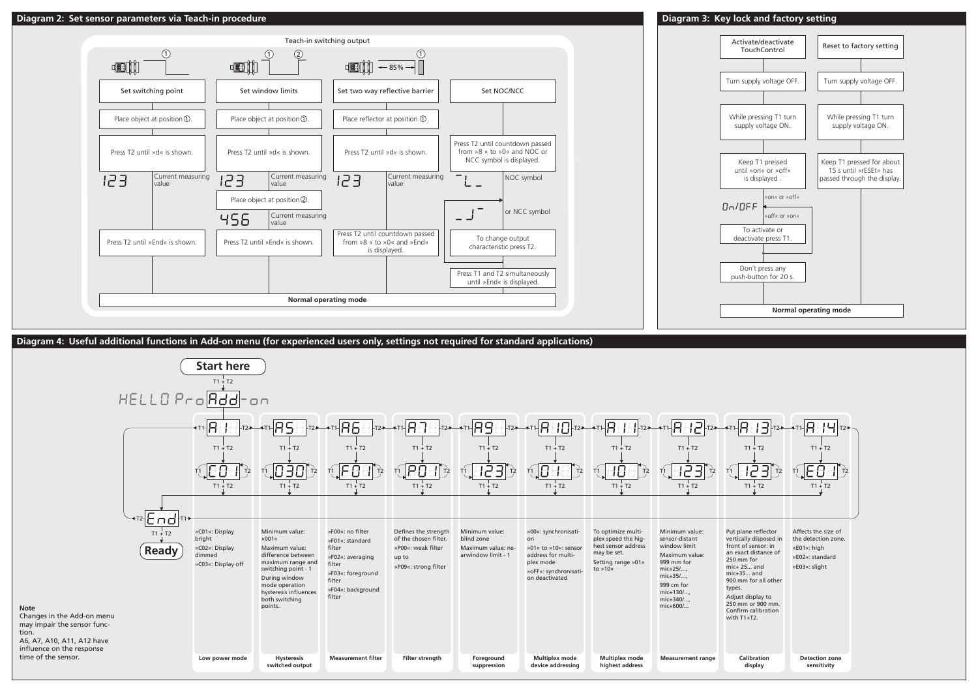